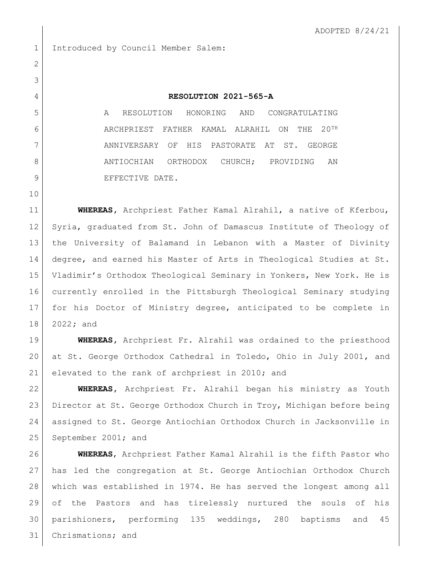1 Introduced by Council Member Salem:

## **RESOLUTION 2021-565-A**

 A RESOLUTION HONORING AND CONGRATULATING ARCHPRIEST FATHER KAMAL ALRAHIL ON THE 20TH ANNIVERSARY OF HIS PASTORATE AT ST. GEORGE 8 ANTIOCHIAN ORTHODOX CHURCH; PROVIDING AN 9 BEFECTIVE DATE.

 **WHEREAS,** Archpriest Father Kamal Alrahil, a native of Kferbou, Syria, graduated from St. John of Damascus Institute of Theology of the University of Balamand in Lebanon with a Master of Divinity degree, and earned his Master of Arts in Theological Studies at St. Vladimir's Orthodox Theological Seminary in Yonkers, New York. He is currently enrolled in the Pittsburgh Theological Seminary studying for his Doctor of Ministry degree, anticipated to be complete in 2022**;** and

 **WHEREAS,** Archpriest Fr. Alrahil was ordained to the priesthood at St. George Orthodox Cathedral in Toledo, Ohio in July 2001, and 21 elevated to the rank of archpriest in 2010; and

 **WHEREAS,** Archpriest Fr. Alrahil began his ministry as Youth Director at St. George Orthodox Church in Troy, Michigan before being assigned to St. George Antiochian Orthodox Church in Jacksonville in September 2001; and

 **WHEREAS**, Archpriest Father Kamal Alrahil is the fifth Pastor who has led the congregation at St. George Antiochian Orthodox Church which was established in 1974. He has served the longest among all of the Pastors and has tirelessly nurtured the souls of his parishioners, performing 135 weddings, 280 baptisms and 45 Chrismations; and